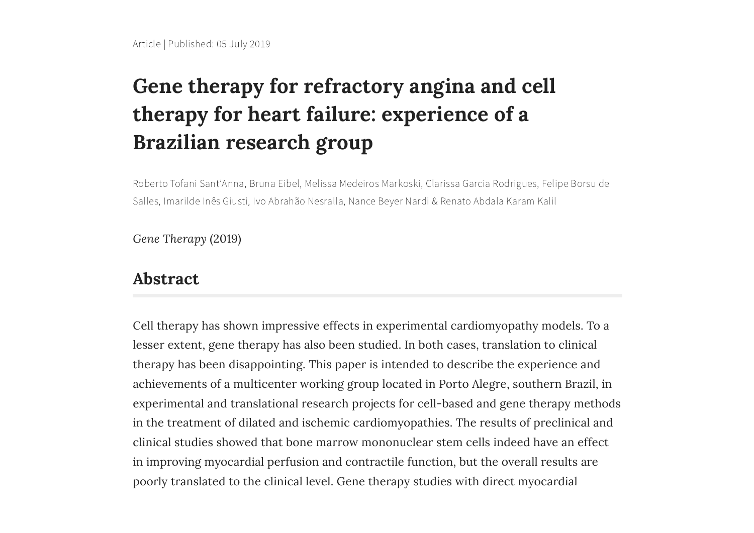# **Gene therapy for refractory angina and cell therapy for heart failure: experience of a Brazilian research group**

Roberto Tofani Sant'Anna, Bruna Eibel, Melissa Medeiros Markoski, Clarissa Garcia Rodrigues, Felipe Borsu de Salles, Imarilde Inês Giusti, Ivo Abrahão Nesralla, Nance Beyer Nardi & Renato Abdala Karam Kalil

*Gene Therapy* (2019)

### **Abstract**

Cell therapy has shown impressive effects in experimental cardiomyopathy models. To a lesser extent, gene therapy has also been studied. In both cases, translation to clinical therapy has been disappointing. This paper is intended to describe the experience and achievements of a multicenter working group located in Porto Alegre, southern Brazil, in experimental and translational research projects for cell-based and gene therapy methods in the treatment of dilated and ischemic cardiomyopathies. The results of preclinical and clinical studies showed that bone marrow mononuclear stem cells indeed have an effect in improving myocardial perfusion and contractile function, but the overall results are poorly translated to the clinical level. Gene therapy studies with direct myocardial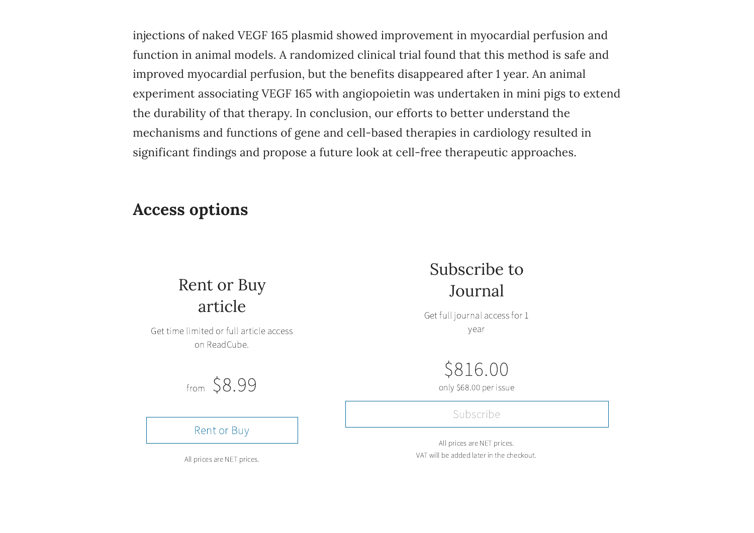injections of naked VEGF 165 plasmid showed improvement in myocardial perfusion and function in animal models. A randomized clinical trial found that this method is safe and improved myocardial perfusion, but the benefits disappeared after 1 year. An animal experiment associating VEGF 165 with angiopoietin was undertaken in mini pigs to extend the durability of that therapy. In conclusion, our efforts to better understand the mechanisms and functions of gene and cell-based therapies in cardiology resulted in significant findings and propose a future look at cell-free therapeutic approaches.

## **Access options**

## Rent or Buy article

Get time limited or full article access on ReadCube.

## from \$8.99

[Rent](https://www.nature.com/articles/s41434-019-0087-2.epdf?no_publisher_access=1&r3_referer=nature) or Buy

## Subscribe to Journal

Get full journal access for 1 year

## \$816.00

only \$68.00 per issue

#### [Subscribe](https://www.nature.com/gt/subscribe)

All prices are NET prices. VAT will be added later in the checkout.

All prices are NET prices.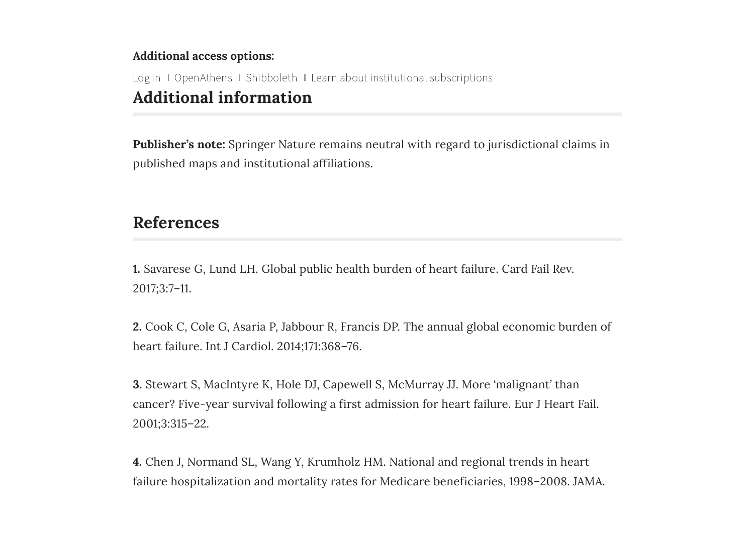#### **Additional access options:**

**Additional information** [Log](https://idp.nature.com/login/natureuser?client_id=grover&redirect_uri=http://www.nature.com/articles/s41434-019-0087-2) in I [OpenAthens](https://idp-saml-nature-federated-login.live.cf.public.nature.com/saml/login?idp=https://idp.eduserv.org.uk/openathens&targetUrl=http://www.nature.com/articles/s41434-019-0087-2) I [Shibboleth](https://idp.nature.com/login/federated?redirect_uri=http://www.nature.com/articles/s41434-019-0087-2) I Learn about institutional [subscriptions](https://www.springernature.com/gp/librarians/licensing/license-options)

**Publisher's note:** Springer Nature remains neutral with regard to jurisdictional claims in published maps and institutional affiliations.

## **References**

**1.** Savarese G, Lund LH. Global public health burden of heart failure. Card Fail Rev. 2017;3:7–11.

**2.** Cook C, Cole G, Asaria P, Jabbour R, Francis DP. The annual global economic burden of heart failure. Int J Cardiol. 2014;171:368–76.

**3.** Stewart S, MacIntyre K, Hole DJ, Capewell S, McMurray JJ. More 'malignant' than cancer? Five-year survival following a first admission for heart failure. Eur J Heart Fail. 2001;3:315–22.

**4.** Chen J, Normand SL, Wang Y, Krumholz HM. National and regional trends in heart failure hospitalization and mortality rates for Medicare beneficiaries, 1998–2008. JAMA.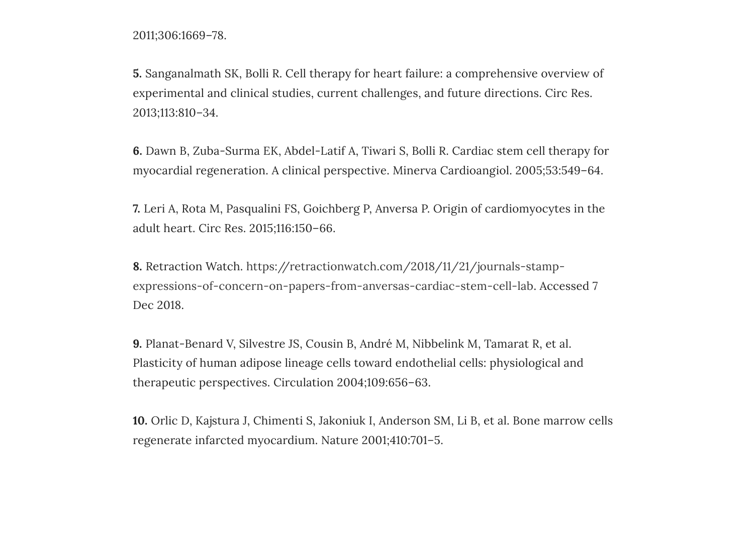2011;306:1669–78.

**5.** Sanganalmath SK, Bolli R. Cell therapy for heart failure: a comprehensive overview of experimental and clinical studies, current challenges, and future directions. Circ Res. 2013;113:810–34.

**6.** Dawn B, Zuba-Surma EK, Abdel-Latif A, Tiwari S, Bolli R. Cardiac stem cell therapy for myocardial regeneration. A clinical perspective. Minerva Cardioangiol. 2005;53:549–64.

**7.** Leri A, Rota M, Pasqualini FS, Goichberg P, Anversa P. Origin of cardiomyocytes in the adult heart. Circ Res. 2015;116:150–66.

**8.** Retraction Watch. https://retractionwatch.com/2018/11/21/journals-stamp[expressions-of-concern-on-papers-from-anversas-cardiac-stem-cell-lab.](https://retractionwatch.com/2018/11/21/journals-stamp-expressions-of-concern-on-papers-from-anversas-cardiac-stem-cell-lab) Accessed 7 Dec 2018.

**9.** Planat-Benard V, Silvestre JS, Cousin B, André M, Nibbelink M, Tamarat R, et al. Plasticity of human adipose lineage cells toward endothelial cells: physiological and therapeutic perspectives. Circulation 2004;109:656–63.

**10.** Orlic D, Kajstura J, Chimenti S, Jakoniuk I, Anderson SM, Li B, et al. Bone marrow cells regenerate infarcted myocardium. Nature 2001;410:701–5.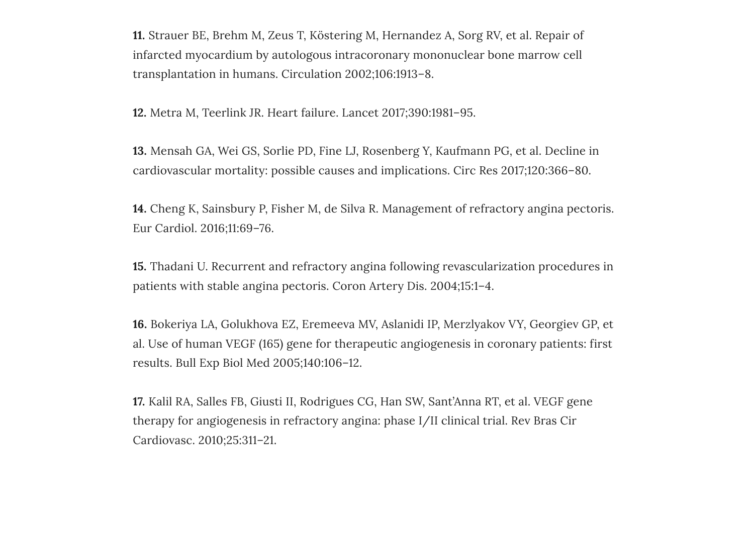**11.** Strauer BE, Brehm M, Zeus T, Köstering M, Hernandez A, Sorg RV, et al. Repair of infarcted myocardium by autologous intracoronary mononuclear bone marrow cell transplantation in humans. Circulation 2002;106:1913–8.

**12.** Metra M, Teerlink JR. Heart failure. Lancet 2017;390:1981–95.

**13.** Mensah GA, Wei GS, Sorlie PD, Fine LJ, Rosenberg Y, Kaufmann PG, et al. Decline in cardiovascular mortality: possible causes and implications. Circ Res 2017;120:366–80.

**14.** Cheng K, Sainsbury P, Fisher M, de Silva R. Management of refractory angina pectoris. Eur Cardiol. 2016;11:69–76.

**15.** Thadani U. Recurrent and refractory angina following revascularization procedures in patients with stable angina pectoris. Coron Artery Dis. 2004;15:1–4.

**16.** Bokeriya LA, Golukhova EZ, Eremeeva MV, Aslanidi IP, Merzlyakov VY, Georgiev GP, et al. Use of human VEGF (165) gene for therapeutic angiogenesis in coronary patients: first results. Bull Exp Biol Med 2005;140:106–12.

**17.** Kalil RA, Salles FB, Giusti II, Rodrigues CG, Han SW, Sant'Anna RT, et al. VEGF gene therapy for angiogenesis in refractory angina: phase I/II clinical trial. Rev Bras Cir Cardiovasc. 2010;25:311–21.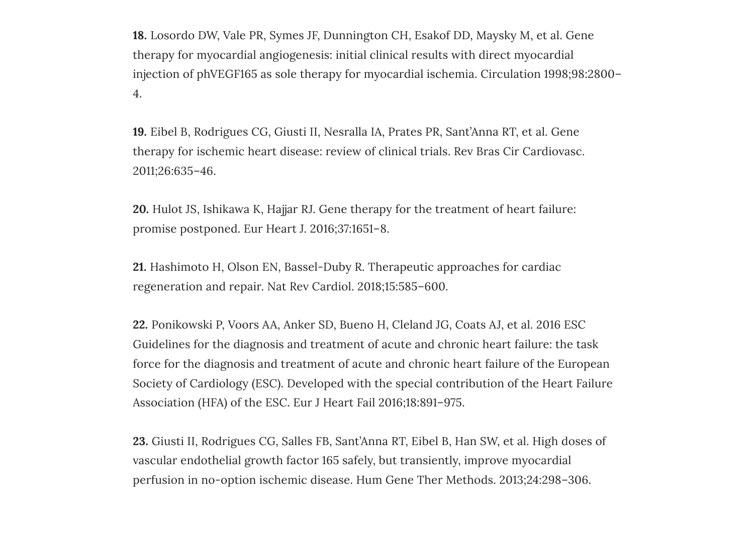**18.** Losordo DW, Vale PR, Symes JF, Dunnington CH, Esakof DD, Maysky M, et al. Gene therapy for myocardial angiogenesis: initial clinical results with direct myocardial injection of phVEGF165 as sole therapy for myocardial ischemia. Circulation 1998;98:2800– 4.

**19.** Eibel B, Rodrigues CG, Giusti II, Nesralla IA, Prates PR, Sant'Anna RT, et al. Gene therapy for ischemic heart disease: review of clinical trials. Rev Bras Cir Cardiovasc. 2011;26:635–46.

**20.** Hulot JS, Ishikawa K, Hajjar RJ. Gene therapy for the treatment of heart failure: promise postponed. Eur Heart J. 2016;37:1651–8.

**21.** Hashimoto H, Olson EN, Bassel-Duby R. Therapeutic approaches for cardiac regeneration and repair. Nat Rev Cardiol. 2018;15:585–600.

**22.** Ponikowski P, Voors AA, Anker SD, Bueno H, Cleland JG, Coats AJ, et al. 2016 ESC Guidelines for the diagnosis and treatment of acute and chronic heart failure: the task force for the diagnosis and treatment of acute and chronic heart failure of the European Society of Cardiology (ESC). Developed with the special contribution of the Heart Failure Association (HFA) of the ESC. Eur J Heart Fail 2016;18:891–975.

**23.** Giusti II, Rodrigues CG, Salles FB, Sant'Anna RT, Eibel B, Han SW, et al. High doses of vascular endothelial growth factor 165 safely, but transiently, improve myocardial perfusion in no-option ischemic disease. Hum Gene Ther Methods. 2013;24:298–306.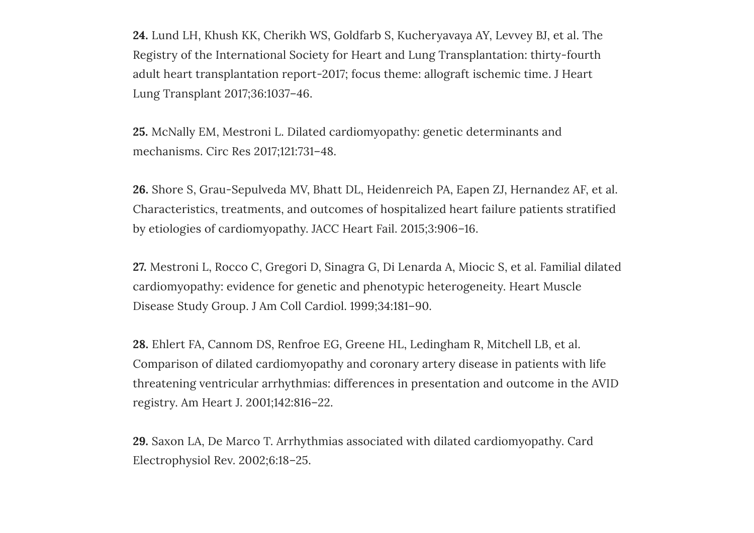**24.** Lund LH, Khush KK, Cherikh WS, Goldfarb S, Kucheryavaya AY, Levvey BJ, et al. The Registry of the International Society for Heart and Lung Transplantation: thirty-fourth adult heart transplantation report-2017; focus theme: allograft ischemic time. J Heart Lung Transplant 2017;36:1037–46.

**25.** McNally EM, Mestroni L. Dilated cardiomyopathy: genetic determinants and mechanisms. Circ Res 2017;121:731–48.

**26.** Shore S, Grau-Sepulveda MV, Bhatt DL, Heidenreich PA, Eapen ZJ, Hernandez AF, et al. Characteristics, treatments, and outcomes of hospitalized heart failure patients stratified by etiologies of cardiomyopathy. JACC Heart Fail. 2015;3:906–16.

**27.** Mestroni L, Rocco C, Gregori D, Sinagra G, Di Lenarda A, Miocic S, et al. Familial dilated cardiomyopathy: evidence for genetic and phenotypic heterogeneity. Heart Muscle Disease Study Group. J Am Coll Cardiol. 1999;34:181–90.

**28.** Ehlert FA, Cannom DS, Renfroe EG, Greene HL, Ledingham R, Mitchell LB, et al. Comparison of dilated cardiomyopathy and coronary artery disease in patients with life threatening ventricular arrhythmias: differences in presentation and outcome in the AVID registry. Am Heart J. 2001;142:816–22.

**29.** Saxon LA, De Marco T. Arrhythmias associated with dilated cardiomyopathy. Card Electrophysiol Rev. 2002;6:18–25.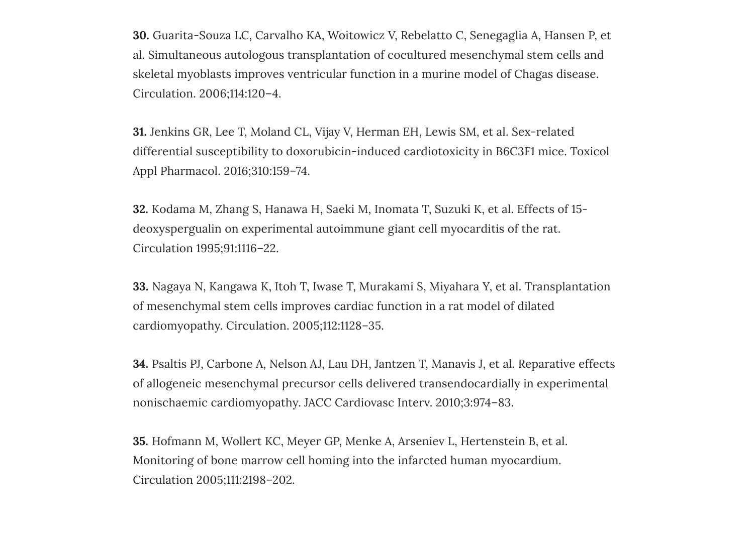**30.** Guarita-Souza LC, Carvalho KA, Woitowicz V, Rebelatto C, Senegaglia A, Hansen P, et al. Simultaneous autologous transplantation of cocultured mesenchymal stem cells and skeletal myoblasts improves ventricular function in a murine model of Chagas disease. Circulation. 2006;114:120–4.

**31.** Jenkins GR, Lee T, Moland CL, Vijay V, Herman EH, Lewis SM, et al. Sex-related differential susceptibility to doxorubicin-induced cardiotoxicity in B6C3F1 mice. Toxicol Appl Pharmacol. 2016;310:159–74.

**32.** Kodama M, Zhang S, Hanawa H, Saeki M, Inomata T, Suzuki K, et al. Effects of 15 deoxyspergualin on experimental autoimmune giant cell myocarditis of the rat. Circulation 1995;91:1116–22.

**33.** Nagaya N, Kangawa K, Itoh T, Iwase T, Murakami S, Miyahara Y, et al. Transplantation of mesenchymal stem cells improves cardiac function in a rat model of dilated cardiomyopathy. Circulation. 2005;112:1128–35.

**34.** Psaltis PJ, Carbone A, Nelson AJ, Lau DH, Jantzen T, Manavis J, et al. Reparative effects of allogeneic mesenchymal precursor cells delivered transendocardially in experimental nonischaemic cardiomyopathy. JACC Cardiovasc Interv. 2010;3:974–83.

**35.** Hofmann M, Wollert KC, Meyer GP, Menke A, Arseniev L, Hertenstein B, et al. Monitoring of bone marrow cell homing into the infarcted human myocardium. Circulation 2005;111:2198–202.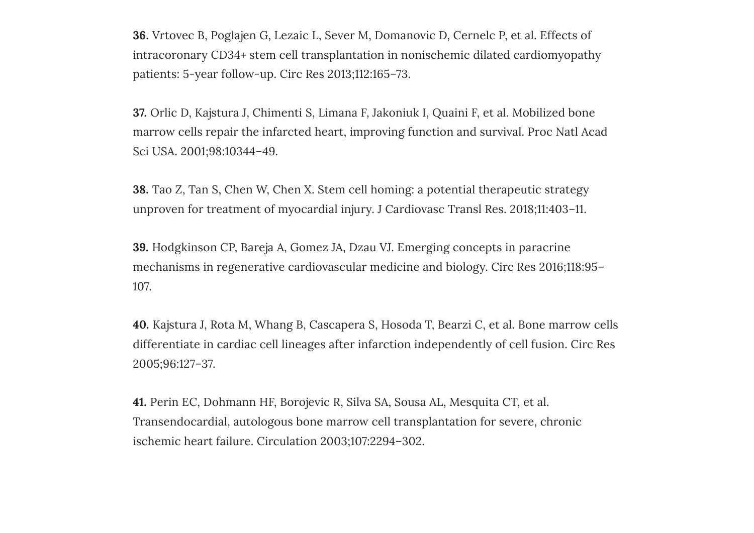**36.** Vrtovec B, Poglajen G, Lezaic L, Sever M, Domanovic D, Cernelc P, et al. Effects of intracoronary CD34+ stem cell transplantation in nonischemic dilated cardiomyopathy patients: 5-year follow-up. Circ Res 2013;112:165–73.

**37.** Orlic D, Kajstura J, Chimenti S, Limana F, Jakoniuk I, Quaini F, et al. Mobilized bone marrow cells repair the infarcted heart, improving function and survival. Proc Natl Acad Sci USA. 2001;98:10344–49.

**38.** Tao Z, Tan S, Chen W, Chen X. Stem cell homing: a potential therapeutic strategy unproven for treatment of myocardial injury. J Cardiovasc Transl Res. 2018;11:403–11.

**39.** Hodgkinson CP, Bareja A, Gomez JA, Dzau VJ. Emerging concepts in paracrine mechanisms in regenerative cardiovascular medicine and biology. Circ Res 2016;118:95– 107.

**40.** Kajstura J, Rota M, Whang B, Cascapera S, Hosoda T, Bearzi C, et al. Bone marrow cells differentiate in cardiac cell lineages after infarction independently of cell fusion. Circ Res 2005;96:127–37.

**41.** Perin EC, Dohmann HF, Borojevic R, Silva SA, Sousa AL, Mesquita CT, et al. Transendocardial, autologous bone marrow cell transplantation for severe, chronic ischemic heart failure. Circulation 2003;107:2294–302.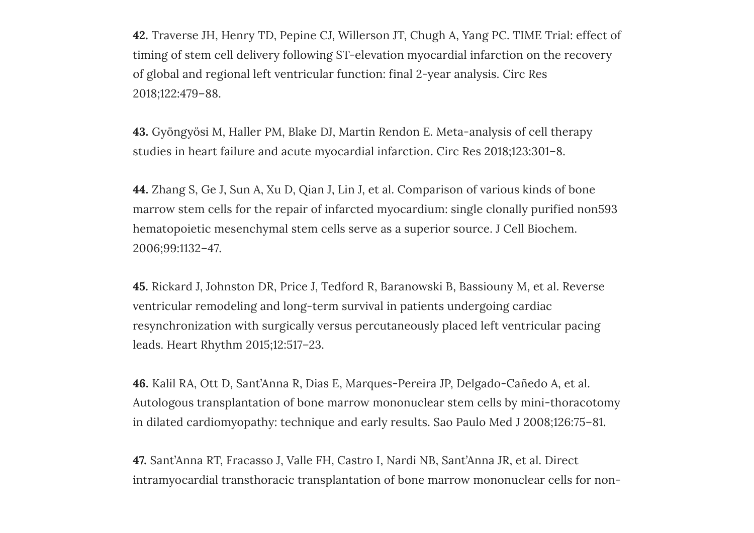**42.** Traverse JH, Henry TD, Pepine CJ, Willerson JT, Chugh A, Yang PC. TIME Trial: effect of timing of stem cell delivery following ST-elevation myocardial infarction on the recovery of global and regional left ventricular function: final 2-year analysis. Circ Res 2018;122:479–88.

**43.** Gyöngyösi M, Haller PM, Blake DJ, Martin Rendon E. Meta-analysis of cell therapy studies in heart failure and acute myocardial infarction. Circ Res 2018;123:301–8.

**44.** Zhang S, Ge J, Sun A, Xu D, Qian J, Lin J, et al. Comparison of various kinds of bone marrow stem cells for the repair of infarcted myocardium: single clonally purified non593 hematopoietic mesenchymal stem cells serve as a superior source. J Cell Biochem. 2006;99:1132–47.

**45.** Rickard J, Johnston DR, Price J, Tedford R, Baranowski B, Bassiouny M, et al. Reverse ventricular remodeling and long-term survival in patients undergoing cardiac resynchronization with surgically versus percutaneously placed left ventricular pacing leads. Heart Rhythm 2015;12:517–23.

**46.** Kalil RA, Ott D, Sant'Anna R, Dias E, Marques-Pereira JP, Delgado-Cañedo A, et al. Autologous transplantation of bone marrow mononuclear stem cells by mini-thoracotomy in dilated cardiomyopathy: technique and early results. Sao Paulo Med J 2008;126:75–81.

**47.** Sant'Anna RT, Fracasso J, Valle FH, Castro I, Nardi NB, Sant'Anna JR, et al. Direct intramyocardial transthoracic transplantation of bone marrow mononuclear cells for non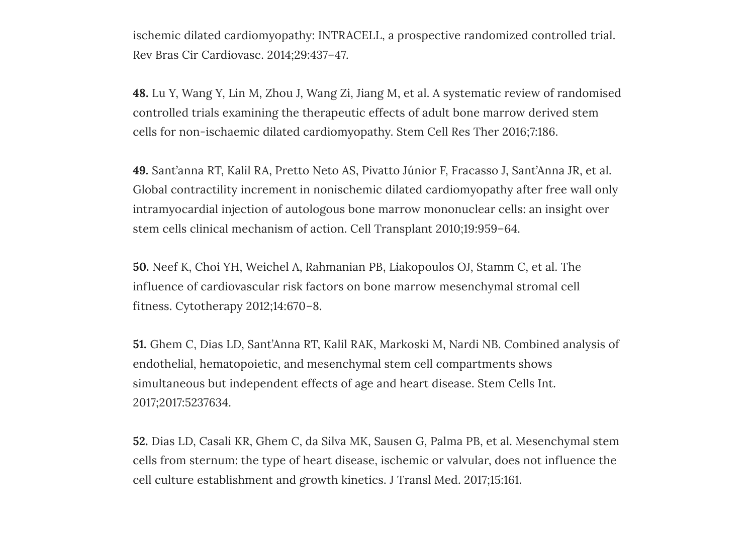ischemic dilated cardiomyopathy: INTRACELL, a prospective randomized controlled trial. Rev Bras Cir Cardiovasc. 2014;29:437–47.

**48.** Lu Y, Wang Y, Lin M, Zhou J, Wang Zi, Jiang M, et al. A systematic review of randomised controlled trials examining the therapeutic effects of adult bone marrow derived stem cells for non-ischaemic dilated cardiomyopathy. Stem Cell Res Ther 2016;7:186.

**49.** Sant'anna RT, Kalil RA, Pretto Neto AS, Pivatto Júnior F, Fracasso J, Sant'Anna JR, et al. Global contractility increment in nonischemic dilated cardiomyopathy after free wall only intramyocardial injection of autologous bone marrow mononuclear cells: an insight over stem cells clinical mechanism of action. Cell Transplant 2010;19:959–64.

**50.** Neef K, Choi YH, Weichel A, Rahmanian PB, Liakopoulos OJ, Stamm C, et al. The influence of cardiovascular risk factors on bone marrow mesenchymal stromal cell fitness. Cytotherapy 2012;14:670–8.

**51.** Ghem C, Dias LD, Sant'Anna RT, Kalil RAK, Markoski M, Nardi NB. Combined analysis of endothelial, hematopoietic, and mesenchymal stem cell compartments shows simultaneous but independent effects of age and heart disease. Stem Cells Int. 2017;2017:5237634.

**52.** Dias LD, Casali KR, Ghem C, da Silva MK, Sausen G, Palma PB, et al. Mesenchymal stem cells from sternum: the type of heart disease, ischemic or valvular, does not influence the cell culture establishment and growth kinetics. J Transl Med. 2017;15:161.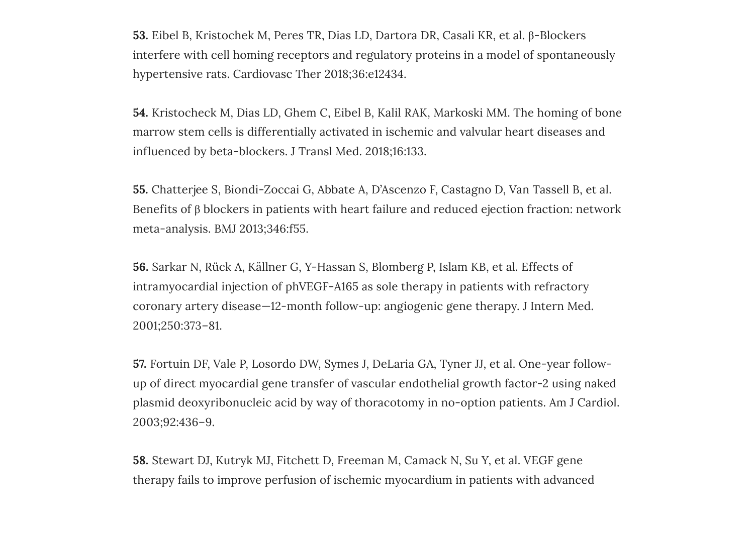**53.** Eibel B, Kristochek M, Peres TR, Dias LD, Dartora DR, Casali KR, et al. β-Blockers interfere with cell homing receptors and regulatory proteins in a model of spontaneously hypertensive rats. Cardiovasc Ther 2018;36:e12434.

**54.** Kristocheck M, Dias LD, Ghem C, Eibel B, Kalil RAK, Markoski MM. The homing of bone marrow stem cells is differentially activated in ischemic and valvular heart diseases and influenced by beta-blockers. J Transl Med. 2018;16:133.

**55.** Chatterjee S, Biondi-Zoccai G, Abbate A, D'Ascenzo F, Castagno D, Van Tassell B, et al. Benefits of β blockers in patients with heart failure and reduced ejection fraction: network meta-analysis. BMJ 2013;346:f55.

**56.** Sarkar N, Rück A, Källner G, Y-Hassan S, Blomberg P, Islam KB, et al. Effects of intramyocardial injection of phVEGF-A165 as sole therapy in patients with refractory coronary artery disease—12-month follow-up: angiogenic gene therapy. J Intern Med. 2001;250:373–81.

**57.** Fortuin DF, Vale P, Losordo DW, Symes J, DeLaria GA, Tyner JJ, et al. One-year followup of direct myocardial gene transfer of vascular endothelial growth factor-2 using naked plasmid deoxyribonucleic acid by way of thoracotomy in no-option patients. Am J Cardiol. 2003;92:436–9.

**58.** Stewart DJ, Kutryk MJ, Fitchett D, Freeman M, Camack N, Su Y, et al. VEGF gene therapy fails to improve perfusion of ischemic myocardium in patients with advanced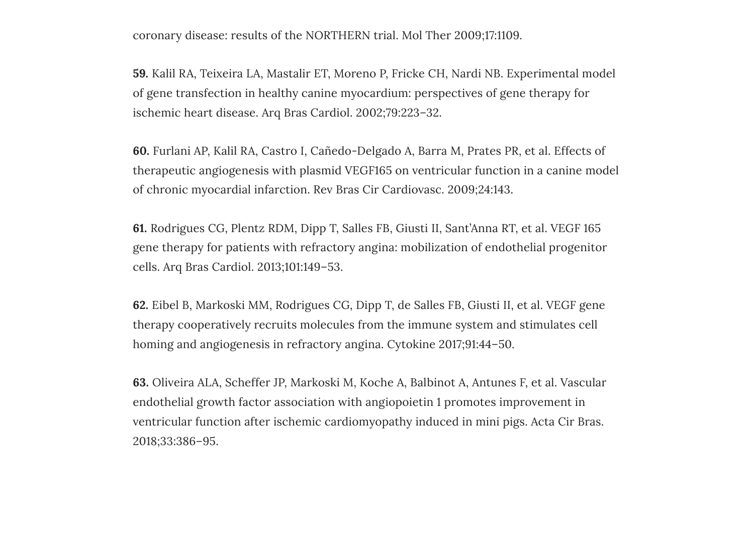coronary disease: results of the NORTHERN trial. Mol Ther 2009;17:1109.

**59.** Kalil RA, Teixeira LA, Mastalir ET, Moreno P, Fricke CH, Nardi NB. Experimental model of gene transfection in healthy canine myocardium: perspectives of gene therapy for ischemic heart disease. Arq Bras Cardiol. 2002;79:223–32.

**60.** Furlani AP, Kalil RA, Castro I, Cañedo-Delgado A, Barra M, Prates PR, et al. Effects of therapeutic angiogenesis with plasmid VEGF165 on ventricular function in a canine model of chronic myocardial infarction. Rev Bras Cir Cardiovasc. 2009;24:143.

**61.** Rodrigues CG, Plentz RDM, Dipp T, Salles FB, Giusti II, Sant'Anna RT, et al. VEGF 165 gene therapy for patients with refractory angina: mobilization of endothelial progenitor cells. Arq Bras Cardiol. 2013;101:149–53.

**62.** Eibel B, Markoski MM, Rodrigues CG, Dipp T, de Salles FB, Giusti II, et al. VEGF gene therapy cooperatively recruits molecules from the immune system and stimulates cell homing and angiogenesis in refractory angina. Cytokine 2017;91:44–50.

**63.** Oliveira ALA, Scheffer JP, Markoski M, Koche A, Balbinot A, Antunes F, et al. Vascular endothelial growth factor association with angiopoietin 1 promotes improvement in ventricular function after ischemic cardiomyopathy induced in mini pigs. Acta Cir Bras. 2018;33:386–95.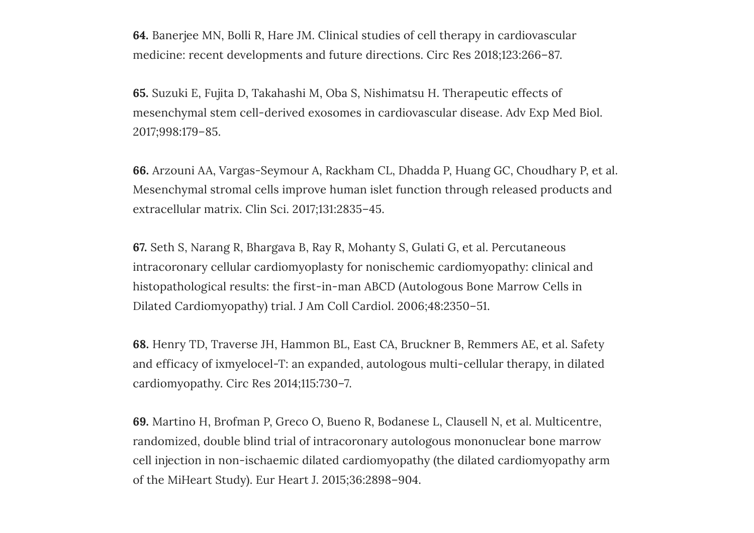**64.** Banerjee MN, Bolli R, Hare JM. Clinical studies of cell therapy in cardiovascular medicine: recent developments and future directions. Circ Res 2018;123:266–87.

**65.** Suzuki E, Fujita D, Takahashi M, Oba S, Nishimatsu H. Therapeutic effects of mesenchymal stem cell-derived exosomes in cardiovascular disease. Adv Exp Med Biol. 2017;998:179–85.

**66.** Arzouni AA, Vargas-Seymour A, Rackham CL, Dhadda P, Huang GC, Choudhary P, et al. Mesenchymal stromal cells improve human islet function through released products and extracellular matrix. Clin Sci. 2017;131:2835–45.

**67.** Seth S, Narang R, Bhargava B, Ray R, Mohanty S, Gulati G, et al. Percutaneous intracoronary cellular cardiomyoplasty for nonischemic cardiomyopathy: clinical and histopathological results: the first-in-man ABCD (Autologous Bone Marrow Cells in Dilated Cardiomyopathy) trial. J Am Coll Cardiol. 2006;48:2350–51.

**68.** Henry TD, Traverse JH, Hammon BL, East CA, Bruckner B, Remmers AE, et al. Safety and efficacy of ixmyelocel-T: an expanded, autologous multi-cellular therapy, in dilated cardiomyopathy. Circ Res 2014;115:730–7.

**69.** Martino H, Brofman P, Greco O, Bueno R, Bodanese L, Clausell N, et al. Multicentre, randomized, double blind trial of intracoronary autologous mononuclear bone marrow cell injection in non-ischaemic dilated cardiomyopathy (the dilated cardiomyopathy arm of the MiHeart Study). Eur Heart J. 2015;36:2898–904.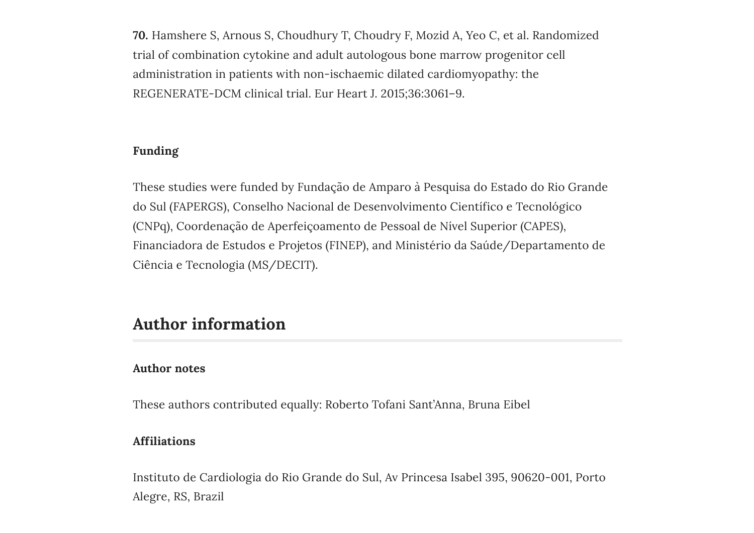**70.** Hamshere S, Arnous S, Choudhury T, Choudry F, Mozid A, Yeo C, et al. Randomized trial of combination cytokine and adult autologous bone marrow progenitor cell administration in patients with non-ischaemic dilated cardiomyopathy: the REGENERATE-DCM clinical trial. Eur Heart J. 2015;36:3061–9.

#### **Funding**

These studies were funded by Fundação de Amparo à Pesquisa do Estado do Rio Grande do Sul (FAPERGS), Conselho Nacional de Desenvolvimento Científico e Tecnológico (CNPq), Coordenação de Aperfeiçoamento de Pessoal de Nível Superior (CAPES), Financiadora de Estudos e Projetos (FINEP), and Ministério da Saúde/Departamento de Ciência e Tecnologia (MS/DECIT).

### **Author information**

#### **Author notes**

These authors contributed equally: Roberto Tofani Sant'Anna, Bruna Eibel

#### **Affiliations**

Instituto de Cardiologia do Rio Grande do Sul, Av Princesa Isabel 395, 90620-001, Porto Alegre, RS, Brazil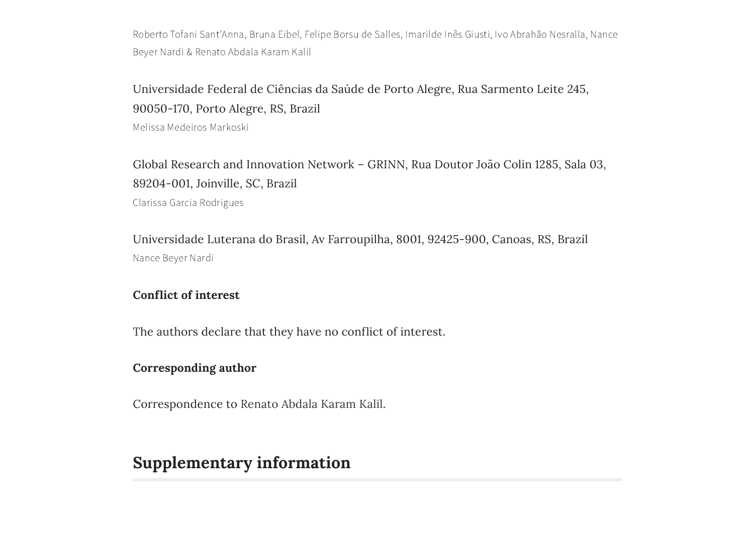Roberto Tofani Sant'Anna, Bruna Eibel, Felipe Borsu de Salles, Imarilde Inês Giusti, Ivo Abrahão Nesralla, Nance Beyer Nardi & Renato Abdala Karam Kalil

Universidade Federal de Ciências da Saúde de Porto Alegre, Rua Sarmento Leite 245, 90050-170, Porto Alegre, RS, Brazil

Melissa Medeiros Markoski

Global Research and Innovation Network – GRINN, Rua Doutor João Colin 1285, Sala 03, 89204-001, Joinville, SC, Brazil Clarissa Garcia Rodrigues

Universidade Luterana do Brasil, Av Farroupilha, 8001, 92425-900, Canoas, RS, Brazil Nance Beyer Nardi

#### **Conflict of interest**

The authors declare that they have no conflict of interest.

#### **Corresponding author**

Correspondence to [Renato](https://www.nature.com/articles/s41434-019-0087-2/email/correspondent/c1/new) Abdala Karam Kalil.

## **Supplementary information**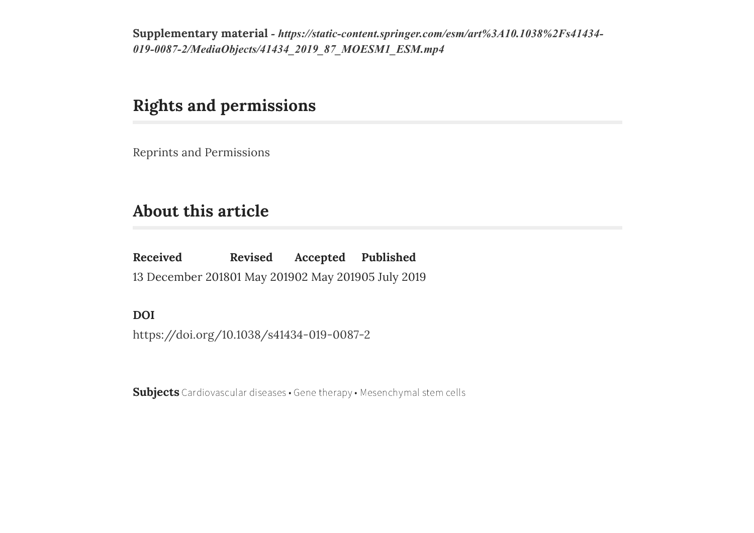**Supplementary material** *- [https://static-content.springer.com/esm/art%3A10.1038%2Fs41434-](https://static-content.springer.com/esm/art%3A10.1038%2Fs41434-019-0087-2/MediaObjects/41434_2019_87_MOESM1_ESM.mp4) 019-0087-2/MediaObjects/41434\_2019\_87\_MOESM1\_ESM.mp4*

## **Rights and permissions**

Reprints and [Permissions](https://s100.copyright.com/AppDispatchServlet?imprint=Nature&title=Gene%20therapy%20for%20refractory%20angina%20and%20cell%20therapy%20for%20heart%20failure%3A%20experience%20of%20a%20Brazilian%20research%20group&author=Roberto%20Tofani%20Sant%E2%80%99Anna%20et%20al&contentID=10.1038%2Fs41434-019-0087-2&publication=Gene%20Therapy&publicationDate=2019-07-05&publisherName=SpringerNature&orderBeanReset=true)

## <span id="page-16-0"></span>**About this article**

**Received** 13 December 2018 01 May 2019 02 May 2019 05 July 2019 **Revised Accepted Published**

**DOI**

<https://doi.org/10.1038/s41434-019-0087-2>

**Subjects** [Cardiovascular](https://www.nature.com/subjects/cardiovascular-diseases) diseases • Gene [therapy](https://www.nature.com/subjects/gene-therapy) • [Mesenchymal](https://www.nature.com/subjects/mesenchymal-stem-cells) stem cells